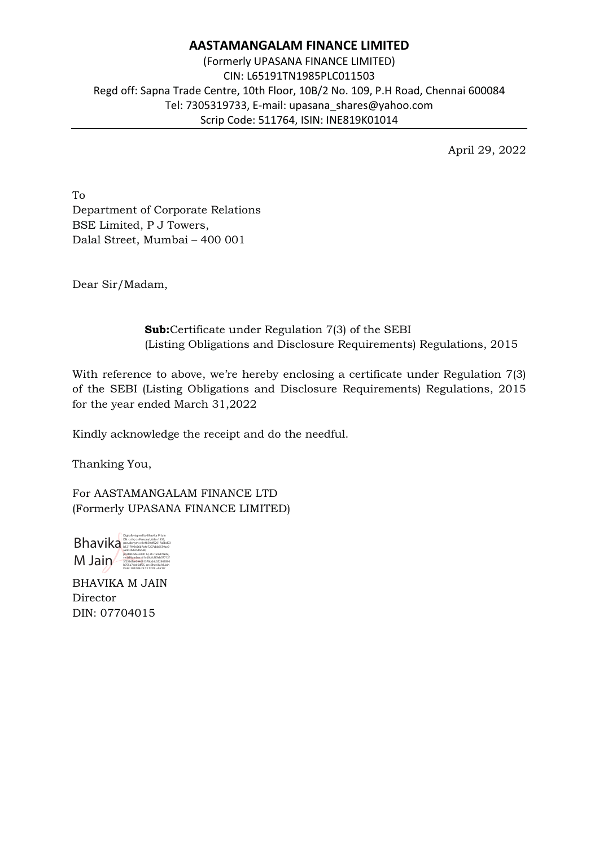## **AASTAMANGALAM FINANCE LIMITED**

(Formerly UPASANA FINANCE LIMITED) CIN: L65191TN1985PLC011503 Regd off: Sapna Trade Centre, 10th Floor, 10B/2 No. 109, P.H Road, Chennai 600084 Tel: 7305319733, E-mail: upasana\_shares@yahoo.com Scrip Code: 511764, ISIN: INE819K01014

April 29, 2022

To Department of Corporate Relations BSE Limited, P J Towers, Dalal Street, Mumbai – 400 001

Dear Sir/Madam,

**Sub:**Certificate under Regulation 7(3) of the SEBI (Listing Obligations and Disclosure Requirements) Regulations, 2015

With reference to above, we're hereby enclosing a certificate under Regulation 7(3) of the SEBI (Listing Obligations and Disclosure Requirements) Regulations, 2015 for the year ended March 31,2022

Kindly acknowledge the receipt and do the needful.

Thanking You,

For AASTAMANGALAM FINANCE LTD (Formerly UPASANA FINANCE LIMITED)



BHAVIKA M JAIN Director DIN: 07704015